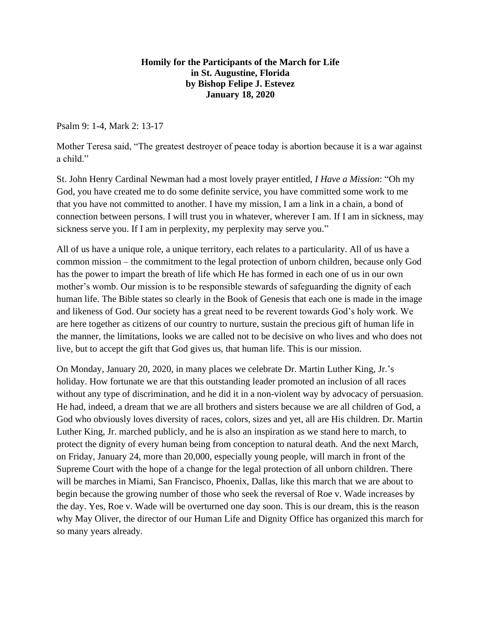## **Homily for the Participants of the March for Life in St. Augustine, Florida by Bishop Felipe J. Estevez January 18, 2020**

Psalm 9: 1-4, Mark 2: 13-17

Mother Teresa said, "The greatest destroyer of peace today is abortion because it is a war against a child."

St. John Henry Cardinal Newman had a most lovely prayer entitled, *I Have a Mission*: "Oh my God, you have created me to do some definite service, you have committed some work to me that you have not committed to another. I have my mission, I am a link in a chain, a bond of connection between persons. I will trust you in whatever, wherever I am. If I am in sickness, may sickness serve you. If I am in perplexity, my perplexity may serve you."

All of us have a unique role, a unique territory, each relates to a particularity. All of us have a common mission – the commitment to the legal protection of unborn children, because only God has the power to impart the breath of life which He has formed in each one of us in our own mother's womb. Our mission is to be responsible stewards of safeguarding the dignity of each human life. The Bible states so clearly in the Book of Genesis that each one is made in the image and likeness of God. Our society has a great need to be reverent towards God's holy work. We are here together as citizens of our country to nurture, sustain the precious gift of human life in the manner, the limitations, looks we are called not to be decisive on who lives and who does not live, but to accept the gift that God gives us, that human life. This is our mission.

On Monday, January 20, 2020, in many places we celebrate Dr. Martin Luther King, Jr.'s holiday. How fortunate we are that this outstanding leader promoted an inclusion of all races without any type of discrimination, and he did it in a non-violent way by advocacy of persuasion. He had, indeed, a dream that we are all brothers and sisters because we are all children of God, a God who obviously loves diversity of races, colors, sizes and yet, all are His children. Dr. Martin Luther King, Jr. marched publicly, and he is also an inspiration as we stand here to march, to protect the dignity of every human being from conception to natural death. And the next March, on Friday, January 24, more than 20,000, especially young people, will march in front of the Supreme Court with the hope of a change for the legal protection of all unborn children. There will be marches in Miami, San Francisco, Phoenix, Dallas, like this march that we are about to begin because the growing number of those who seek the reversal of Roe v. Wade increases by the day. Yes, Roe v. Wade will be overturned one day soon. This is our dream, this is the reason why May Oliver, the director of our Human Life and Dignity Office has organized this march for so many years already.